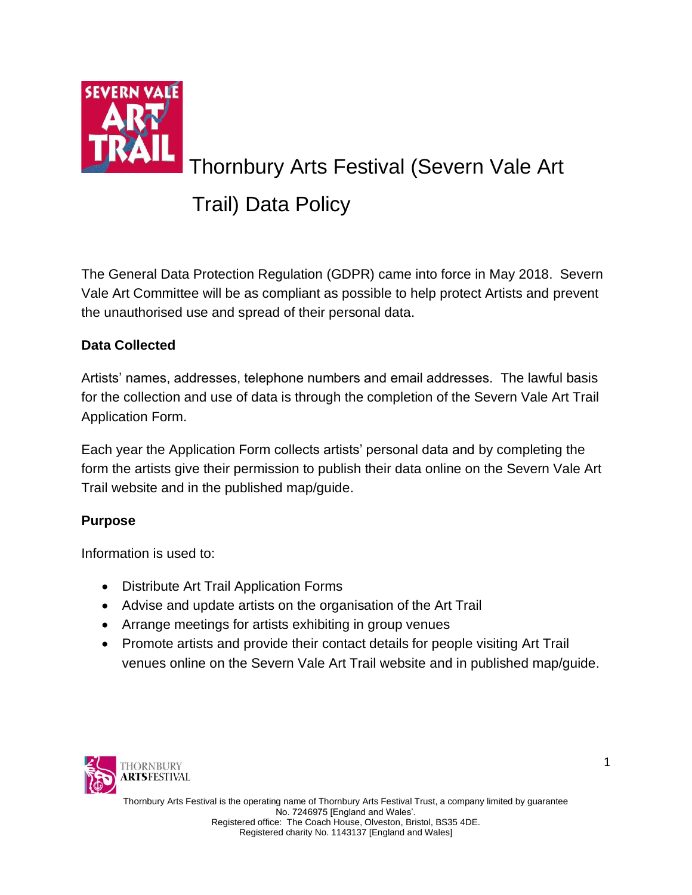

# Thornbury Arts Festival (Severn Vale Art

## Trail) Data Policy

The General Data Protection Regulation (GDPR) came into force in May 2018. Severn Vale Art Committee will be as compliant as possible to help protect Artists and prevent the unauthorised use and spread of their personal data.

### **Data Collected**

Artists' names, addresses, telephone numbers and email addresses. The lawful basis for the collection and use of data is through the completion of the Severn Vale Art Trail Application Form.

Each year the Application Form collects artists' personal data and by completing the form the artists give their permission to publish their data online on the Severn Vale Art Trail website and in the published map/guide.

#### **Purpose**

Information is used to:

- Distribute Art Trail Application Forms
- Advise and update artists on the organisation of the Art Trail
- Arrange meetings for artists exhibiting in group venues
- Promote artists and provide their contact details for people visiting Art Trail venues online on the Severn Vale Art Trail website and in published map/guide.